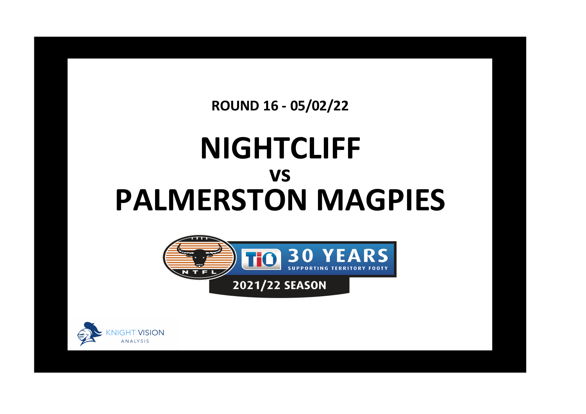**ROUND 16 - 05/02/22**

## **NIGHTCLIFF PALMERSTON MAGPIES vs**



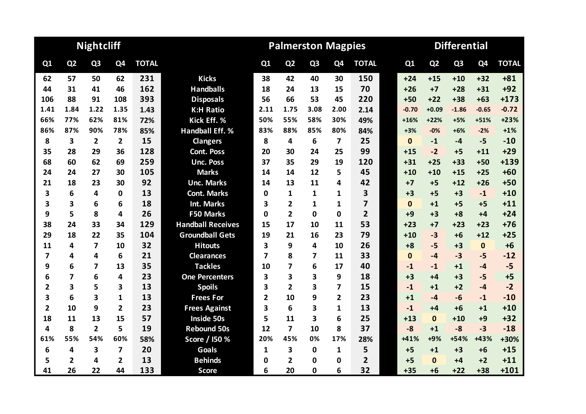|                         |                | <b>Nightcliff</b>       |                |              |                          |                         | <b>Palmerston Magpies</b> |                |                |                         | <b>Differential</b> |                |                |                |              |  |  |
|-------------------------|----------------|-------------------------|----------------|--------------|--------------------------|-------------------------|---------------------------|----------------|----------------|-------------------------|---------------------|----------------|----------------|----------------|--------------|--|--|
| Q1                      | Q <sub>2</sub> | Q <sub>3</sub>          | Q4             | <b>TOTAL</b> |                          | Q <sub>1</sub>          | Q2                        | Q <sub>3</sub> | Q <sub>4</sub> | <b>TOTAL</b>            | Q1                  | Q <sub>2</sub> | Q <sub>3</sub> | Q <sub>4</sub> | <b>TOTAL</b> |  |  |
| 62                      | 57             | 50                      | 62             | 231          | <b>Kicks</b>             | 38                      | 42                        | 40             | 30             | 150                     | $+24$               | $+15$          | $+10$          | $+32$          | $+81$        |  |  |
| 44                      | 31             | 41                      | 46             | 162          | <b>Handballs</b>         | 18                      | 24                        | 13             | 15             | 70                      | $+26$               | $+7$           | $+28$          | $+31$          | $+92$        |  |  |
| 106                     | 88             | 91                      | 108            | 393          | <b>Disposals</b>         | 56                      | 66                        | 53             | 45             | 220                     | $+50$               | $+22$          | $+38$          | $+63$          | $+173$       |  |  |
| 1.41                    | 1.84           | 1.22                    | 1.35           | 1.43         | <b>K:H Ratio</b>         | 2.11                    | 1.75                      | 3.08           | 2.00           | 2.14                    | $-0.70$             | $+0.09$        | $-1.86$        | $-0.65$        | $-0.72$      |  |  |
| 66%                     | 77%            | 62%                     | 81%            | 72%          | Kick Eff. %              | 50%                     | 55%                       | 58%            | 30%            | 49%                     | $+16%$              | $+22%$         | $+5%$          | $+51%$         | $+23%$       |  |  |
| 86%                     | 87%            | 90%                     | 78%            | 85%          | <b>Handball Eff. %</b>   | 83%                     | 88%                       | 85%            | 80%            | 84%                     | $+3%$               | $-0%$          | $+6%$          | $-2%$          | $+1%$        |  |  |
| 8                       | 3              | $\overline{2}$          | $\overline{2}$ | 15           | <b>Clangers</b>          | 8                       | 4                         | 6              | 7              | 25                      | $\bf{0}$            | $-1$           | -4             | $-5$           | $-10$        |  |  |
| 35                      | 28             | 29                      | 36             | 128          | <b>Cont. Poss</b>        | 20                      | 30                        | 24             | 25             | 99                      | $+15$               | $-2$           | $+5$           | $+11$          | $+29$        |  |  |
| 68                      | 60             | 62                      | 69             | 259          | <b>Unc. Poss</b>         | 37                      | 35                        | 29             | 19             | 120                     | $+31$               | $+25$          | $+33$          | $+50$          | $+139$       |  |  |
| 24                      | 24             | 27                      | 30             | 105          | <b>Marks</b>             | 14                      | 14                        | 12             | 5              | 45                      | $+10$               | $+10$          | $+15$          | $+25$          | $+60$        |  |  |
| 21                      | 18             | 23                      | 30             | 92           | <b>Unc. Marks</b>        | 14                      | 13                        | 11             | 4              | 42                      | $+7$                | $+5$           | $+12$          | $+26$          | $+50$        |  |  |
| 3                       | 6              | 4                       | 0              | 13           | <b>Cont. Marks</b>       | 0                       | 1                         | 1              | 1              | 3                       | $+3$                | $+5$           | $+3$           | $-1$           | $+10$        |  |  |
| 3                       | 3              | 6                       | 6              | 18           | <b>Int. Marks</b>        | 3                       | $\overline{2}$            | 1              | 1              | $\overline{\mathbf{z}}$ | $\mathbf{0}$        | $+1$           | $+5$           | $+5$           | $+11$        |  |  |
| 9                       | 5              | 8                       | 4              | 26           | <b>F50 Marks</b>         | 0                       | $\overline{2}$            | $\Omega$       | 0              | $\overline{2}$          | $+9$                | $+3$           | $+8$           | $+4$           | $+24$        |  |  |
| 38                      | 24             | 33                      | 34             | 129          | <b>Handball Receives</b> | 15                      | 17                        | 10             | 11             | 53                      | $+23$               | $+7$           | $+23$          | $+23$          | $+76$        |  |  |
| 29                      | 18             | 22                      | 35             | 104          | <b>Groundball Gets</b>   | 19                      | 21                        | 16             | 23             | 79                      | $+10$               | $-3$           | $+6$           | $+12$          | $+25$        |  |  |
| 11                      | 4              | $\overline{\mathbf{z}}$ | 10             | 32           | <b>Hitouts</b>           | 3                       | 9                         | 4              | 10             | 26                      | $+8$                | $-5$           | $+3$           | $\mathbf 0$    | $+6$         |  |  |
| 7                       | 4              | 4                       | 6              | 21           | <b>Clearances</b>        | $\overline{\mathbf{z}}$ | 8                         | 7              | 11             | 33                      | $\bf{0}$            | -4             | $-3$           | $-5$           | $-12$        |  |  |
| 9                       | 6              | 7                       | 13             | 35           | <b>Tackles</b>           | 10                      | 7                         | 6              | 17             | 40                      | $-1$                | $-1$           | $+1$           | $-4$           | $-5$         |  |  |
| 6                       | 7              | 6                       | 4              | 23           | <b>One Percenters</b>    | 3                       | 3                         | 3              | 9              | 18                      | $+3$                | $+4$           | $+3$           | $-5$           | $+5$         |  |  |
| 2                       | 3              | 5                       | 3              | 13           | <b>Spoils</b>            | 3                       | $\overline{2}$            | 3              | 7              | 15                      | $-1$                | $+1$           | $+2$           | $-4$           | $-2$         |  |  |
| 3                       | 6              | 3                       | 1              | 13           | <b>Frees For</b>         | $\overline{2}$          | 10                        | 9              | $\overline{2}$ | 23                      | $+1$                | -4             | $-6$           | $-1$           | $-10$        |  |  |
| $\overline{\mathbf{2}}$ | 10             | 9                       | $\overline{2}$ | 23           | <b>Frees Against</b>     | 3                       | 6                         | 3              | 1              | 13                      | $-1$                | $+4$           | $+6$           | $+1$           | $+10$        |  |  |
| 18                      | 11             | 13                      | 15             | 57           | <b>Inside 50s</b>        | 5                       | 11                        | 3              | 6              | 25                      | $+13$               | $\mathbf{0}$   | $+10$          | $+9$           | $+32$        |  |  |
| 4                       | 8              | $\overline{2}$          | 5              | 19           | <b>Rebound 50s</b>       | 12                      | $\overline{\mathbf{z}}$   | 10             | 8              | 37                      | $-8$                | $+1$           | $-8$           | $-3$           | $-18$        |  |  |
| 61%                     | 55%            | 54%                     | 60%            | 58%          | Score / I50 %            | 20%                     | 45%                       | 0%             | 17%            | 28%                     | $+41%$              | +9%            | $+54%$         | +43%           | +30%         |  |  |
| 6                       | 4              | 3                       | $\overline{7}$ | 20           | <b>Goals</b>             | 1                       | 3                         | $\bf{0}$       | 1              | 5                       | $+5$                | $+1$           | $+3$           | $+6$           | $+15$        |  |  |
| 5                       | $\overline{2}$ | 4                       | $\overline{2}$ | 13           | <b>Behinds</b>           | 0                       | 2                         | 0              | 0              | $\overline{2}$          | $+5$                | $\Omega$       | +4             | $+2$           | $+11$        |  |  |
| 41                      | 26             | 22                      | 44             | 133          | <b>Score</b>             | 6                       | 20                        | $\mathbf 0$    | 6              | 32                      | $+35$               | $+6$           | $+22$          | $+38$          | $+101$       |  |  |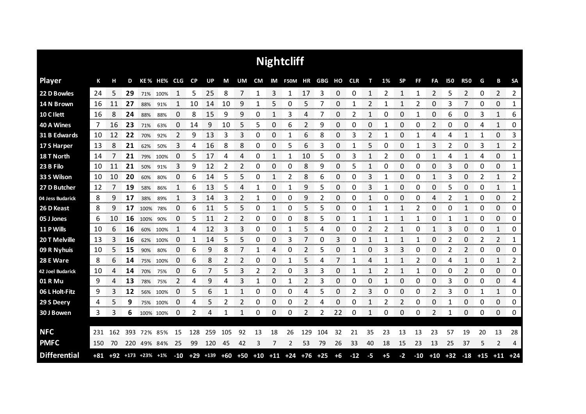|                     |     |     |     |                   |             |                |           |     |     |    |    |    | <b>Nightcliff</b>                          |     |             |      |       |      |      |                |       |                |            |                |       |                |                |
|---------------------|-----|-----|-----|-------------------|-------------|----------------|-----------|-----|-----|----|----|----|--------------------------------------------|-----|-------------|------|-------|------|------|----------------|-------|----------------|------------|----------------|-------|----------------|----------------|
| <b>Player</b>       | К   | н   | D   |                   | KE% HE% CLG |                | <b>CP</b> | UP  | M   | UM | CM |    | IM F50M HR GBG HO CLR                      |     |             |      |       | т    | 1%   | <b>SP</b>      | FF    | FA             | <b>I50</b> | <b>R50</b>     | G     | В              | <b>SA</b>      |
| 22 D Bowles         | 24  | 5   | 29  |                   | 71% 100%    | 1              | 5         | 25  | 8   | 7  | 1  | 3  | 1                                          | 17  | 3           | 0    | 0     | 1    | 2    | 1              | 1     | $\overline{2}$ | 5          | $\overline{2}$ | 0     | $\overline{2}$ | $\overline{2}$ |
| 14 N Brown          | 16  | 11  | 27  | 88%               | 91%         |                | 10        | 14  | 10  | 9  |    | 5  | 0                                          | 5   |             | 0    |       | 2    |      |                | 2     | 0              | 3          | 7              | 0     | 0              | 1              |
| 10 C I lett         | 16  | 8   | 24  | 88%               | 88%         | 0              | 8         | 15  | 9   | 9  | 0  | 1  | 3                                          | 4   |             | 0    | 2     | 1    | 0    | 0              |       | 0              | 6          | 0              | 3     | 1              | 6              |
| 40 A Wines          | 7   | 16  | 23  | 71%               | 63%         | 0              | 14        | 9   | 10  | 5  | 5  | 0  | 6                                          | 2   | 9           | 0    | 0     | 0    | 1    | 0              | 0     | 2              | 0          | 0              | 4     | 1              | 0              |
| 31 B Edwards        | 10  | 12  | 22  | 70%               | 92%         | $\overline{2}$ | 9         | 13  | 3   | 3  | 0  | 0  | 1                                          | 6   | 8           | 0    | 3     | 2    | 1    | 0              | 1     | 4              | 4          | 1              | 1     | 0              | 3              |
| 17 S Harper         | 13  | 8   | 21  | 62%               | 50%         | 3              | 4         | 16  | 8   | 8  | 0  | 0  | 5                                          | 6   | 3           | 0    |       | 5    | 0    | 0              | 1     | 3              | 2          | 0              | 3     | 1              | 2              |
| 18 T North          | 14  |     | 21  | 79%               | 100%        | 0              | 5         | 17  | 4   | 4  | 0  | 1  | 1                                          | 10  | 5           | 0    | 3     | 1    | 2    | 0              | 0     | 1              | 4          | 1              | 4     | 0              | 1              |
| 23 B Filo           | 10  | 11  | 21  | 50%               | 91%         | 3              | 9         | 12  | 2   | 2  | 0  | 0  | 0                                          | 8   | 9           | 0    | 5     | 1    | Ω    | 0              | 0     | 0              | 3          | 0              | 0     | 0              | 1              |
| 33 S Wilson         | 10  | 10  | 20  | 60%               | 80%         | 0              | 6         | 14  | 5   | 5  | 0  | 1  | 2                                          | 8   | 6           | 0    | 0     | 3    |      | 0              | 0     | 1              | 3          | 0              | 2     | 1              | 2              |
| 27 D Butcher        | 12  |     | 19  | 58%               | 86%         | 1              | 6         | 13  | 5   | 4  |    | 0  |                                            | 9   | 5           | 0    | 0     | 3    |      | 0              | 0     | 0              | 5          | 0              | 0     | 1              | 1              |
| 04 Jess Budarick    | 8   | 9   | 17  | 38%               | 89%         | 1              | 3         | 14  | 3   | 2  | 1  | 0  | 0                                          | 9   | 2           | 0    | 0     |      | O    | 0              | 0     | 4              | 2          | 1              | 0     | 0              | 2              |
| 26 D Keast          | 8   | 9   | 17  | 100%              | 78%         | 0              | 6         | 11  | 5   | 5  | 0  | 1  | 0                                          | 5   | 5           | 0    | 0     | 1    |      | 1              | 2     | 0              | 0          | 1              | 0     | 0              | 0              |
| 05 J Jones          | 6   | 10  | 16  | 100%              | 90%         | 0              | 5         | 11  | 2   | 2  | 0  | 0  | 0                                          | 8   | 5           | 0    | 1     | 1    | 1    | 1              | 1     | 0              | 1          | 1              | 0     | 0              | 0              |
| 11 P Wills          | 10  | 6   | 16  | 60%               | 100%        |                | 4         | 12  | 3   | 3  | 0  | 0  | 1                                          | 5   | 4           | 0    | ი     | 2    | 2    | 1              | 0     | 1              | 3          | 0              | 0     | 1              | 0              |
| 20 T Melville       | 13  | 3   | 16  | 62%               | 100%        | 0              | 1         | 14  | 5   | 5  | 0  | 0  | 3                                          |     | 0           | 3    | 0     | 1    |      | 1              | 1     | 0              | 2          | 0              | 2     | 2              | 1              |
| 09 R Nyhuis         | 10  | 5   | 15  | 90%               | 80%         | 0              | 6         | 9   | 8   |    | 1  | 4  | 0                                          | 2   | 5           | 0    | 1     | 0    | 3    | 3              | 0     | 0              | 2          | 2              | 0     | 0              | 0              |
| 28 E Ware           | 8   | 6   | 14  | 75%               | 100%        | 0              | 6         | 8   | 2   | 2  | 0  | 0  | 1                                          | 5   | 4           | 7    | 1     | 4    | 1    | 1              | 2     | 0              | 4          | 1              | 0     | 1              | 2              |
| 42 Joel Budarick    | 10  | 4   | 14  | 70%               | 75%         | 0              | 6         |     | 5   | 3  | 2  | 2  | 0                                          | 3   | 3           | 0    |       | 1    | 2    | 1              |       | 0              | O          | 2              | 0     | 0              | 0              |
| 01 R Mu             | 9   | 4   | 13  | 78%               | 75%         | 2              | 4         | 9   | 4   | 3  | 1  | 0  | 1                                          | 2   | 3           | 0    | 0     | 0    | 1    | 0              | 0     | $\Omega$       | 3          | 0              | 0     | 0              | 4              |
| 06 L Holt-Fitz      | 9   | 3   | 12  |                   | 56% 100%    | 0              | 5         | 6   | 1   | 1  | 0  | ი  | 0                                          | Δ   |             | 0    | 2     | 3    | 0    | 0              | 0     | 2              | 3          | 0              | 1     | 1              | 0<br>mmmm      |
| 29 S Deery          | 4   | 5   | 9   |                   | 75% 100%    | 0              | 4         | 5   | 2   | 2  | 0  | 0  | 0                                          | 2   | 4           | 0    | n     | 1    | 2    | $\overline{2}$ | 0     | 0              | 1          | 0              | 0     | 0              | 0              |
| 30 J Bowen          | 3   | 3   | 6   |                   | 100% 100%   | 0              | 2         | 4   | 1   | 1  | 0  | 0  | 0                                          | 2   | 2           | 22   | 0     | 1    | 0    | 0              | 0     | 2              | 1          | 0              | 0     | 0              | 0              |
|                     |     |     |     |                   |             |                |           |     |     |    |    |    |                                            |     |             |      |       |      |      |                |       |                |            |                |       |                |                |
| <b>NFC</b>          | 231 | 162 | 393 |                   | 72% 85%     | 15             | 128       | 259 | 105 | 92 | 13 | 18 | 26                                         | 129 | 104         | 32   | 21    | 35   | 23   | 13             | 13    | 23             | 57         | 19             | 20    | 13             | 28             |
| <b>PMFC</b>         | 150 | 70  | 220 |                   | 49% 84%     | 25             | 99        | 120 | 45  | 42 | 3  | 7  | 2                                          | 53  | 79          | 26   | 33    | 40   | 18   | 15             | 23    | 13             | 25         | 37             | 5     | $\overline{2}$ | 4              |
| <b>Differential</b> | +81 |     |     | +92 +173 +23% +1% |             | $-10$          |           |     |     |    |    |    | $+29$ $+139$ $+60$ $+50$ $+10$ $+11$ $+24$ |     | $+76$ $+25$ | $+6$ | $-12$ | $-5$ | $+5$ | $-2$           | $-10$ | $+10$          | $+32$      | $-18$          | $+15$ | $+11$          | $+24$          |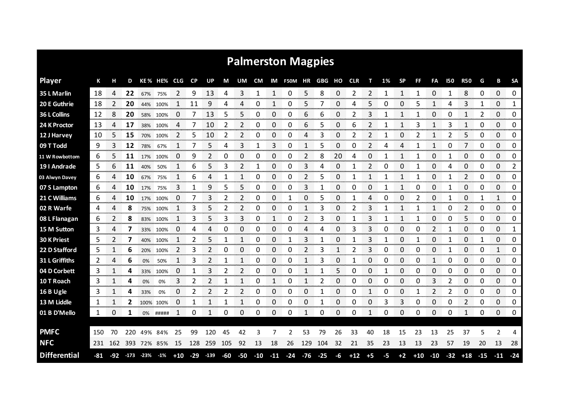|                     |     |     |     |               |           |             |       |        |     |                |           |              | <b>Palmerston Magpies</b> |       |       |    |            |             |      |           |              |              |              |            |       |                  |              |
|---------------------|-----|-----|-----|---------------|-----------|-------------|-------|--------|-----|----------------|-----------|--------------|---------------------------|-------|-------|----|------------|-------------|------|-----------|--------------|--------------|--------------|------------|-------|------------------|--------------|
| <b>Player</b>       | К   |     | D   |               | KE % HE%  | <b>CLG</b>  | CP    | UP     | М   | UM             | <b>CM</b> |              | IM F50M HR GBG HO         |       |       |    | <b>CLR</b> | т           | 1%   | <b>SP</b> | FF           | FA           | 150          | <b>R50</b> | G     | в                | <b>SA</b>    |
| 35 L Marlin         | 18  | 4   | 22  | 67%           | 75%       | 2           | 9     | 13     | 4   | 3              | 1         | 1            | 0                         | 5     | 8     | 0  | 2          | 2           |      | 1         | 1            | 0            | 1            | 8          | 0     | 0                | 0            |
| 20 E Guthrie        | 18  | 2   | 20  | 44%           | 100%      | 1           | 11    | 9      | 4   | 4              | 0         | 1            | 0                         | 5     | 7     | 0  | 4          | 5           | 0    | 0         | 5            | 1            | 4            | 3          | 1     | 0                | $\mathbf{1}$ |
| 36 L Collins        | 12  | 8   | 20  | 58%           | 100%      | 0           | 7     | 13     | 5   | 5              | 0         | 0            | 0                         | 6     | 6     | 0  | 2          | 3           | 1    | 1         | 1            | 0            | 0            | 1          | 2     | 0                | 0            |
| 24 K Proctor        | 13  | 4   | 17  | 38%           | 100%      | 4           | 7     | 10     | 2   | $\overline{2}$ | 0         | 0            | 0                         | 6     | 5     | 0  | 6          | 2           | 1    | 1         | 3            | 1            | 3            | 1          | 0     | 0                | 0            |
| 12 J Harvey         | 10  | 5   | 15  |               | 70% 100%  | 2           | 5.    | 10     | 2   | 2              | 0         | 0            | 0                         | 4     | 3     | 0  | 2          | 2           | 1    | 0         | 2            | 1            | 2            | 5          | 0     | 0                | 0            |
| 09 T Todd           | 9   | 3   | 12  | 78%           | 67%       | $\mathbf 1$ | 7     | 5      | 4   | 3              | 1         | 3            | 0                         | 1     | 5     | 0  | 0          | 2           | 4    | 4         | $\mathbf{1}$ | $\mathbf{1}$ | 0            | 7          | 0     | 0                | 0            |
| 11 W Rowbottom      | 6   | 5   | 11  | 17%           | 100%      | 0           | 9     | 2      | 0   | 0              | 0         | 0            | 0                         | 2     | 8     | 20 | Δ          | 0           |      | 1         | 1            | 0            |              | 0          | 0     | 0                | 0            |
| 19 I Andrade        | 5   | 6   | 11  | 40%           | 50%       | 1           | 6     | 5      | 3   | 2              | 1         | 0            | 0                         | 3     | 4     | 0  | 1          | 2           | 0    | 0         | $\mathbf{1}$ | 0            | 4            | 0          | 0     | 0                | 2            |
| 03 Alwyn Davey      | 6   | 4   | 10  | 67%           | 75%       | 1           | 6     | 4      | 1   | 1              | 0         | 0            | 0                         | 2     | 5     | 0  | 1          | 1           |      | 1         | 1            | 0            |              | 2          | 0     | 0                | 0            |
| 07 S Lampton        | 6   | 4   | 10  | 17%           | 75%       | 3           | 1     | 9      | 5   | 5              | 0         | 0            | 0                         | 3     | 1     | 0  | 0          | 0           | 1    | 1         | 0            | $\Omega$     | $\mathbf{1}$ | 0          | 0     | 0                | 0            |
| 21 C Williams       | 6   |     | 10  |               | 17% 100%  | 0           |       | 3      | 2   | 2              | 0         | 0            | 1                         | 0     | 5     | 0  |            | 4           | 0    | 0         | 2            | 0            |              | 0          | 1     | $\mathbf{1}$     | 0            |
| 02 R Warfe          | 4   | 4   | 8   |               | 75% 100%  | 1           | 3     | 5      | 2   | 2              | 0         | 0            | 0                         | 1     | 3     | 0  | 2          | 3           | 1    | 1         | 1            | 1            | 0            | 2          | 0     | 0                | 0            |
| 08 L Flanagan       | 6   | 2   | 8   |               | 83% 100%  | 1           | 3     | 5      | 3   | 3              | 0         | 1            | 0                         | 2     | 3     | 0  | 1          | 3           | 1    | 1         | $\mathbf{1}$ | 0            | 0            | 5          | 0     | 0                | 0            |
| 15 M Sutton         | 3   | 4   | 7   | 33%           | 100%      | 0           | 4     | 4      | 0   | 0              | 0         | 0            | 0                         | 4     | 4     | 0  | 3          | 3           | 0    | 0         | 0            | 2            | 1            | 0          | 0     | 0                | 1            |
| 30 K Priest         | 5   |     |     |               | 40% 100%  |             | 2     |        |     |                | 0         | 0            |                           | 3     |       | 0  |            | 3           |      | O         |              | 0            |              | 0          |       | 0                | 0            |
| 22 D Stafford       | 5   |     | 6   | 20%           | 100%      |             | 3     |        | O   | 0              | 0         | 0<br>annon a | 0                         | 2     | 3     |    | 2          | 3           | O    | 0         | 0            | 0            |              | 0<br>mmmm  | 0     | anananananananan | 0            |
| 31 L Griffiths      | 2   | 4   | 6   | 0%            | 50%       |             | 3     |        |     |                | 0         | 0            | 0                         |       | 3     | 0  |            | O           | 0    | 0         | 0            | 1            | 0            | 0          | 0     | 0                | 0            |
| 04 D Corbett        | 3   |     | 4   | 33%           | 100%      | 0           |       | 3      |     |                | Ω         | 0            | 0                         |       |       | 5  | 0          | 0           |      | 0         | 0            | 0            | 0            | 0          | 0     | 0                | 0            |
| 10 T Roach          | 3   |     | 4   | 0%            | 0%        | 3           | 2     |        |     |                | 0         | 1            | 0                         | 1     | 2     | 0  | 0          | 0           | 0    | 0         | 0            | 3            | 2            | 0          | 0     | 0                | 0            |
| 16 B Ugle           | 3   |     | 4   | 33%           | 0%        | 0           | 2     |        | 2   | 2              | 0         | 0            | 0                         | 0     | 1     | 0  | 0          | 1           | 0    | 0         |              | 2            | 2            | 0          | 0     | 0                | 0<br>onomor  |
| 13 M Liddle         | 1   |     | 2   |               | 100% 100% | 0           | 1     |        |     | 1              | 0         | 0            | 0                         | 0     |       | 0  | 0          | 0<br>on con | 3    | 3         | 0            | 0            | 0            | 2          | 0     | 0                | 0            |
| 01 B D'Mello        | 1   | 0   | 1   | 0%            | #####     | 1           | 0     | 1      | 0   | 0              | 0         | 0            | 0                         | 1     | 0     | 0  | 0          | 1           | 0    | 0         | 0            | 0            | 0            | 1          | 0     | 0                | 0            |
| <b>PMFC</b>         | 150 | 70  | 220 | 49%           | 84%       | 25          | 99    | 120    | 45  | 42             | 3         | 7            | 2                         | 53    | 79    | 26 | 33         | 40          | 18   | 15        | 23           | 13           | 25           | 37         | 5     | $\overline{2}$   |              |
| <b>NFC</b>          | 231 | 162 | 393 |               | 72% 85%   | 15          | 128   | 259    | 105 | 92             | 13        | 18           | 26                        | 129   | 104   | 32 | 21         | 35          | 23   | 13        | 13           | 23           | 57           | 19         | 20    | 13               | 28           |
| <b>Differential</b> | -81 | -92 |     | $-173$ $-23%$ | $-1\%$    | $+10$       | $-29$ | $-139$ | -60 | -50            | $-10$     | $-11$        | $-24$                     | $-76$ | $-25$ | -6 | $+12$      | $+5$        | $-5$ | $+2$      | $+10$        | $-10$        |              | $-32 + 18$ | $-15$ | $-11$            | $-24$        |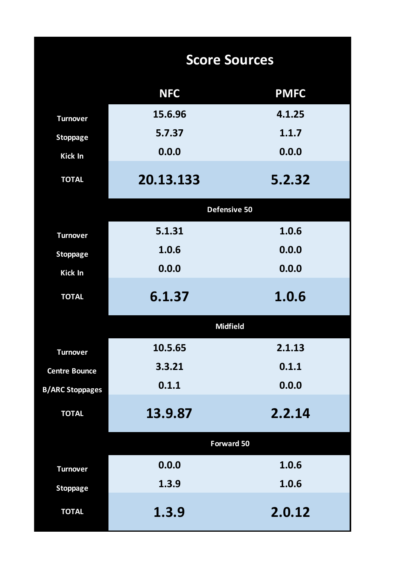|                        | <b>Score Sources</b> |             |
|------------------------|----------------------|-------------|
|                        | <b>NFC</b>           | <b>PMFC</b> |
| <b>Turnover</b>        | 15.6.96              | 4.1.25      |
| <b>Stoppage</b>        | 5.7.37               | 1.1.7       |
| Kick In                | 0.0.0                | 0.0.0       |
| <b>TOTAL</b>           | 20.13.133            | 5.2.32      |
|                        | Defensive 50         |             |
| <b>Turnover</b>        | 5.1.31               | 1.0.6       |
| <b>Stoppage</b>        | 1.0.6                | 0.0.0       |
| <b>Kick In</b>         | 0.0.0                | 0.0.0       |
| <b>TOTAL</b>           | 6.1.37               | 1.0.6       |
|                        | <b>Midfield</b>      |             |
| <b>Turnover</b>        | 10.5.65              | 2.1.13      |
| <b>Centre Bounce</b>   | 3.3.21               | 0.1.1       |
| <b>B/ARC Stoppages</b> | 0.1.1                | 0.0.0       |
| <b>TOTAL</b>           | 13.9.87              | 2.2.14      |
|                        | <b>Forward 50</b>    |             |
| <b>Turnover</b>        | 0.0.0                | 1.0.6       |
| <b>Stoppage</b>        | 1.3.9                | 1.0.6       |
| <b>TOTAL</b>           | 1.3.9                | 2.0.12      |